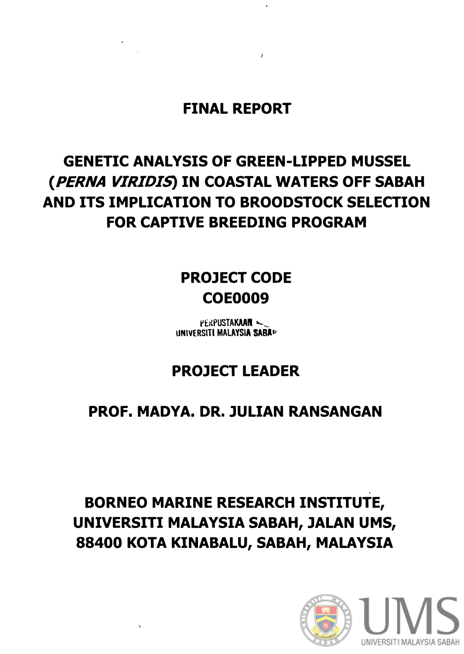**FINAL REPORT** 

# **GENETIC ANALYSIS OF GREEN-LIPPED MUSSEL** (PERNA VIRIDIS) IN COASTAL WATERS OFF SABAH AND ITS IMPLICATION TO BROODSTOCK SELECTION FOR CAPTIVE BREEDING PROGRAM

## **PROJECT CODE COE0009**

PERPUSTAKAAN UNIVERSITI MALAYSIA SABAL

## **PROJECT LEADER**

### PROF. MADYA. DR. JULIAN RANSANGAN

# **BORNEO MARINE RESEARCH INSTITUTE,** UNIVERSITI MALAYSIA SABAH, JALAN UMS, 88400 KOTA KINABALU, SABAH, MALAYSIA